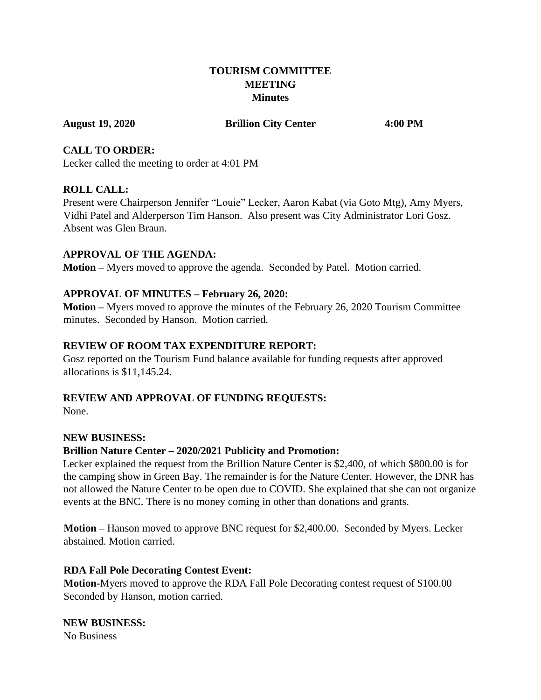## **TOURISM COMMITTEE MEETING Minutes**

#### **August 19, 2020 Brillion City Center 4:00 PM**

#### **CALL TO ORDER:**

Lecker called the meeting to order at 4:01 PM

#### **ROLL CALL:**

Present were Chairperson Jennifer "Louie" Lecker, Aaron Kabat (via Goto Mtg), Amy Myers, Vidhi Patel and Alderperson Tim Hanson. Also present was City Administrator Lori Gosz. Absent was Glen Braun.

#### **APPROVAL OF THE AGENDA:**

**Motion –** Myers moved to approve the agenda. Seconded by Patel. Motion carried.

## **APPROVAL OF MINUTES – February 26, 2020:**

**Motion –** Myers moved to approve the minutes of the February 26, 2020 Tourism Committee minutes. Seconded by Hanson. Motion carried.

#### **REVIEW OF ROOM TAX EXPENDITURE REPORT:**

Gosz reported on the Tourism Fund balance available for funding requests after approved allocations is \$11,145.24.

## **REVIEW AND APPROVAL OF FUNDING REQUESTS:**

None.

## **NEW BUSINESS:**

## **Brillion Nature Center – 2020/2021 Publicity and Promotion:**

Lecker explained the request from the Brillion Nature Center is \$2,400, of which \$800.00 is for the camping show in Green Bay. The remainder is for the Nature Center. However, the DNR has not allowed the Nature Center to be open due to COVID. She explained that she can not organize events at the BNC. There is no money coming in other than donations and grants.

**Motion –** Hanson moved to approve BNC request for \$2,400.00. Seconded by Myers. Lecker abstained. Motion carried.

## **RDA Fall Pole Decorating Contest Event:**

**Motion-**Myers moved to approve the RDA Fall Pole Decorating contest request of \$100.00 Seconded by Hanson, motion carried.

## **NEW BUSINESS:**

No Business